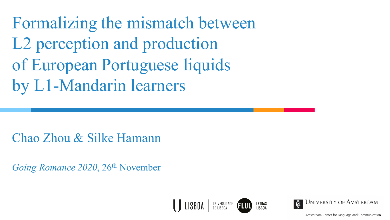Formalizing the mismatch between L2 perception and production of European Portuguese liquids by L1-Mandarin learners

Chao Zhou & Silke Hamann

*Going Romance 2020*, 26<sup>th</sup> November



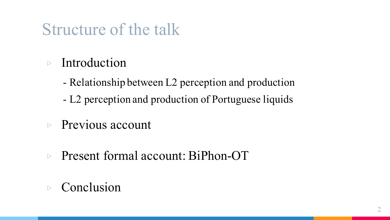### Structure of the talk

- $\triangleright$  Introduction
	- Relationship between L2 perception and production
	- L2 perception and production of Portuguese liquids
- ▷ Previous account
- ▷ Present formal account: BiPhon-OT
- ▷ Conclusion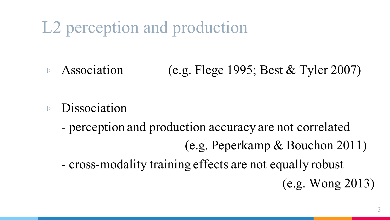L2 perception and production

Association (e.g. Flege 1995; Best & Tyler 2007)

- ▷ Dissociation
	- perception and production accuracy are not correlated (e.g. Peperkamp & Bouchon 2011) - cross-modality training effects are not equally robust (e.g. Wong 2013)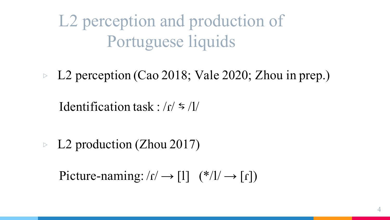L2 perception and production of Portuguese liquids

▷ L2 perception (Cao 2018; Vale 2020; Zhou in prep.)

Identification task :  $\frac{r}{s}$  /l/

▷ L2 production (Zhou 2017)

Picture-naming:  $\Gamma$  /r  $\rightarrow$  [1] (\*/1/  $\rightarrow$  [r])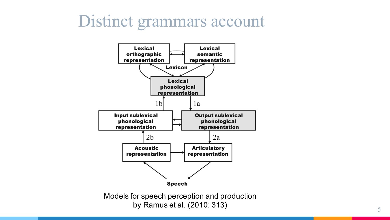### Distinct grammars account



by Ramus et al. (2010: 313)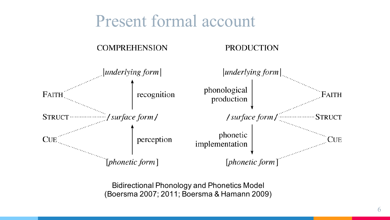### Present formal account

#### **COMPREHENSION**

#### **PRODUCTION**



Bidirectional Phonology and Phonetics Model (Boersma 2007; 2011; Boersma & Hamann 2009)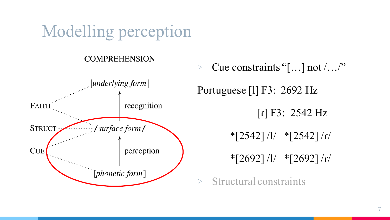### Modelling perception

### **COMPREHENSION**



Cue constraints "[ $\ldots$ ] not  $\ldots$ " Portuguese [l] F3: 2692 Hz  $[r] F3: 2542 Hz$  $*$ [2542] /l/  $*$ [2542] /r/  $*$ [2692] /l/  $*$ [2692] /r/

 $\triangleright$  Structural constraints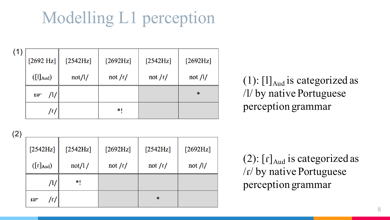# Modelling L1 perception

| (1) | $[2692 \text{ Hz}]$                          | [2542Hz] | [2692Hz]  | [2542Hz]  | $[2692Hz]$    |
|-----|----------------------------------------------|----------|-----------|-----------|---------------|
|     | $\left( \begin{bmatrix} 1 \end{bmatrix}$ Aud | not/l/   | not $/r/$ | not $/r/$ | not $/$ / $/$ |
|     | /1/<br><b>REA</b>                            |          |           |           | $\ast$        |
|     | /٢/                                          |          | *!        |           |               |

(1):  $[1]_{\text{Aud}}$  is categorized as /l/ by native Portuguese perception grammar

(2)

| $[2542Hz]$<br>$([r]_{\text{Aud}})$ | [2542Hz]<br>not/1/ | [2692Hz]<br>not $/r/$ | [2542Hz]<br>not $/r/$ | $[2692Hz]$<br>not $/$ / $/$ |
|------------------------------------|--------------------|-----------------------|-----------------------|-----------------------------|
| /1/                                | $*1$               |                       |                       |                             |
| /r/<br><b>CEP</b>                  |                    |                       | $\ast$                |                             |

(2):  $[r]_{\text{Aud}}$  is categorized as /ɾ/ by native Portuguese perception grammar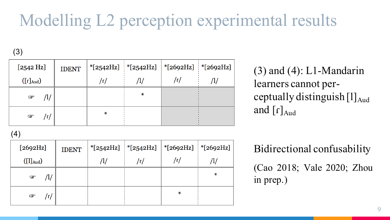## Modelling L2 perception experimental results

(3)

| [2542 Hz]                 | <b>IDENT</b> |    |   | *[2542Hz]   *[2542Hz]   *[2692Hz]   *[2692Hz] |  |
|---------------------------|--------------|----|---|-----------------------------------------------|--|
| $([\Gamma]_{\text{Aud}})$ |              | /٢ |   |                                               |  |
| /l/<br>$\mathbb{F}$       |              |    | ₩ |                                               |  |
| $\mathbb{F}$<br>/r/       |              | ∗  |   |                                               |  |

 $(3)$  and  $(4)$ : L1-Mandarin learners cannot perceptually distinguish  $[1]_{\text{Aud}}$ and  $\lceil r \rceil_{\text{And}}$ 

Bidirectional confusability (Cao 2018; Vale 2020; Zhou in prep.)

(4)

| [2692Hz]                                     | <b>IDENT</b> | *[2542Hz]   *[2542Hz]   *[2692Hz]   *[2692Hz] |     |   |
|----------------------------------------------|--------------|-----------------------------------------------|-----|---|
| $\left( \begin{bmatrix} 1 \end{bmatrix}$ Aud |              | /٢                                            | /ɾ/ |   |
| $\mathbb{F}$                                 |              |                                               |     | ₩ |
| $\mathbb{F}$                                 |              |                                               | ₩   |   |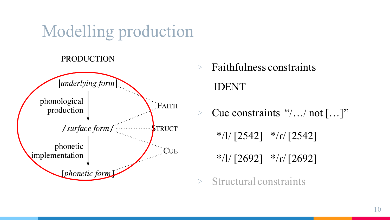### Modelling production

### **PRODUCTION**



- $\triangleright$  Faithfulness constraints IDENT
- ▷ Cue constraints "/…/ not […]"
	- \*/l/ $\lceil 2542 \rceil$  \*/r/ $\lceil 2542 \rceil$

 $*$ /l/ [2692]  $*$ /r/ [2692]

 $\triangleright$  Structural constraints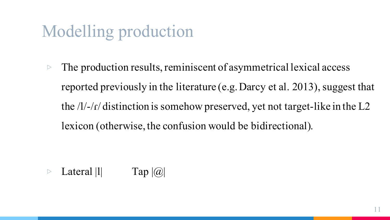## Modelling production

 $\triangleright$  The production results, reminiscent of asymmetrical lexical access reported previously in the literature (e.g. Darcy et al. 2013), suggest that the /l/-/ɾ/ distinction is somehow preserved, yet not target-like in the L2 lexicon (otherwise, the confusion would be bidirectional).

 $\triangleright$  Lateral  $|1|$  Tap  $|0\rangle$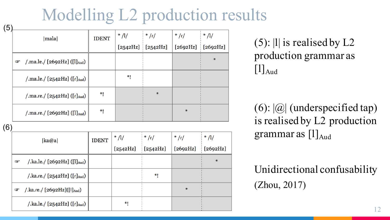### Modelling L2 production results

| (5) |                                                           |              |         |                     |                     |        |
|-----|-----------------------------------------------------------|--------------|---------|---------------------|---------------------|--------|
|     | mala                                                      | <b>IDENT</b> | * $/1/$ | $\frac{1}{2}$ /r/   | $*/r/$              | $*/1/$ |
|     |                                                           |              |         | $[2542Hz]$ [2542Hz] | $[2692Hz]$ [2692Hz] |        |
|     | /.ma.le./ [2692Hz] ([l] $_{\text{Aud}}$ )<br>$\mathbf{F}$ |              |         |                     |                     | $\ast$ |
|     | /.ma.le./ $[2542Hz]$ ( $[r]_{\text{Aud}}$ )               |              | *!      |                     |                     |        |
|     | /.ma.re./ $[2542Hz]$ ( $[r]_{\text{Aud}}$ )               | $*1$         |         | ₩                   |                     |        |
|     | /.ma.re./ [2692Hz] ([l] $_{\text{Aud}}$ )                 | $*1$         |         |                     | ₩                   |        |

(6)

| ka@a                                                      | <b>IDENT</b> | * $/1/$  | $\frac{*}{\sqrt{1}}$ | $*/r/$   | $\frac{1}{2}$ /1/ |
|-----------------------------------------------------------|--------------|----------|----------------------|----------|-------------------|
|                                                           |              | [2542Hz] | [2542Hz]             | [2692Hz] | [2692Hz]          |
| /.ka.le./ [2692Hz] ([l] <sub>Aud</sub> )<br>田             |              |          |                      |          | $\ast$            |
| /.ka.re./ [2542Hz] ([r] $_{\text{Aud}}$ )                 |              |          | *1                   |          |                   |
| /.ka.re./ $[2692Hz]$ ([I] <sub>Aud</sub> )<br><b>Sept</b> |              |          |                      | $\ast$   |                   |
| /.ka.le./ [2542Hz] ([r] $_{\text{Aud}}$ )                 |              | *1       |                      |          |                   |

(5): |l| is realised by L2 production grammar as  $[1]_{\text{Aud}}$ 

 $(6)$ :  $|Q|$  (underspecified tap) is realised by L2 production grammar as  $[1]_{\text{And}}$ 

Unidirectional confusability (Zhou, 2017)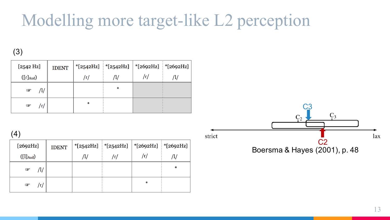### Modelling more target-like L2 perception

(3)

| [2542 Hz]                 | <b>IDENT</b> |   | *[2542Hz]   *[2542Hz]   *[2692Hz]   *[2692Hz] |     |  |
|---------------------------|--------------|---|-----------------------------------------------|-----|--|
| $([\Gamma]_{\text{Aud}})$ |              |   |                                               | /٢/ |  |
| $\circledcirc$            |              |   | ₩                                             |     |  |
| $\circledast$<br>/ɾ/      |              | ₩ |                                               |     |  |

(4)

| $[2692Hz]$                                    | <b>IDENT</b> | *[2542Hz] *[2542Hz]   *[2692Hz] *[2692Hz] |   |         |
|-----------------------------------------------|--------------|-------------------------------------------|---|---------|
| $\left( \begin{bmatrix} 1 \end{bmatrix}$ Aud) |              |                                           |   |         |
| $\mathbf{F}$                                  |              |                                           |   | $\star$ |
| $\blacksquare$                                |              |                                           | ∗ |         |

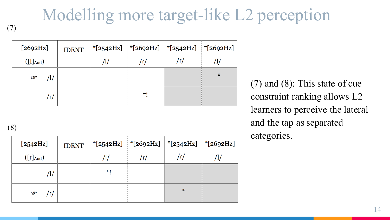# Modelling more target-like L2 perception

(7)

| [2692Hz]                                     | <b>IDENT</b> | *[2542Hz]   *[2692Hz]   *[2542Hz]   *[2692Hz] |     |        |
|----------------------------------------------|--------------|-----------------------------------------------|-----|--------|
| $\left( \begin{bmatrix} 1 \end{bmatrix}$ Aud |              | /٢                                            | /r/ |        |
| /1/<br>$\mathbb{Q}$                          |              |                                               |     | $\ast$ |
| /ɾ/                                          |              | *۱                                            |     |        |

(8)

| [2542Hz]                                                                       | <b>IDENT</b> |    | *[2542Hz]   *[2692Hz]   *[2542Hz]   *[2692Hz] |        |  |
|--------------------------------------------------------------------------------|--------------|----|-----------------------------------------------|--------|--|
| $\left(\left[\begin{smallmatrix}r\end{smallmatrix}\right]_{\text{Aud}}\right)$ |              |    |                                               | /r/    |  |
| Т,                                                                             |              | *1 |                                               |        |  |
| $\mathbb{F}$<br>/٢                                                             |              |    |                                               | $\ast$ |  |

(7) and (8): This state of cue constraint ranking allows L2 learners to perceive the lateral and the tap as separated categories.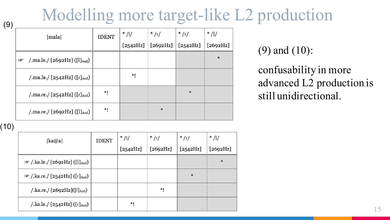### Modelling more target-like L2 production

| (9) |                                                           |              |           |                       |                     |                  |
|-----|-----------------------------------------------------------|--------------|-----------|-----------------------|---------------------|------------------|
|     | mala                                                      | <b>IDENT</b> | * $/$ $/$ | $\frac{1}{2}$ /r/     | $*/r/$              | $\frac{1}{2}$ // |
|     |                                                           |              |           | $[2542Hz]$ $[2692Hz]$ | $[2542Hz]$ [2692Hz] |                  |
|     | /.ma.le./ [2692Hz] ([l] $_{\text{Aud}}$ )<br>$\mathbf{F}$ |              |           |                       |                     | $\ast$           |
|     | /.ma.le./ $[2542Hz]$ ([r] $_{\text{Aud}}$ )               |              | *!        |                       |                     |                  |
|     | /.ma.re./ $[2542Hz]$ ([r] $_{\text{Aud}}$ )               | ۰Į           |           |                       | $\ast$              |                  |
|     | /.ma.re./ $[2692Hz]$ ([l] <sub>Aud</sub> )                | $*1$         |           | $\ast$                |                     |                  |

(9) and (10):

confusability in more advanced L2 production is still unidirectional.

(10)

| ka@a                                                          | <b>IDENT</b> | $*$ /l/  | $\frac{1}{2}$ $\frac{1}{2}$ $\frac{1}{2}$ | $*/r/$   | $\frac{1}{2}$ /1/ |
|---------------------------------------------------------------|--------------|----------|-------------------------------------------|----------|-------------------|
|                                                               |              | [2542Hz] | [2692Hz]                                  | [2542Hz] | [2692Hz]<br>÷     |
| $\mathcal{F}/\text{.}$ ka.le./ [2692Hz] ([l] <sub>Aud</sub> ) |              |          |                                           |          | $\ast$            |
| $\mathbb{F}$ /.ka.re./ [2542Hz] ([r] <sub>Aud</sub> )         |              |          |                                           | ₩        |                   |
| /.ka.re./ [2692Hz]([I] <sub>Aud</sub> )                       |              |          | *1                                        |          |                   |
| /.ka.le./ [2542Hz] ([r] <sub>Aud</sub> )                      |              | $*1$     |                                           |          |                   |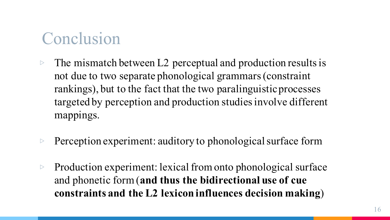### Conclusion

- $\triangleright$  The mismatch between L2 perceptual and production results is not due to two separate phonological grammars (constraint rankings), but to the fact that the two paralinguistic processes targeted by perception and production studies involve different mappings.
- $\triangleright$  Perception experiment: auditory to phonological surface form
- ▷ Production experiment: lexical from onto phonological surface and phonetic form (**and thus the bidirectional use of cue constraints and the L2 lexicon influences decision making**)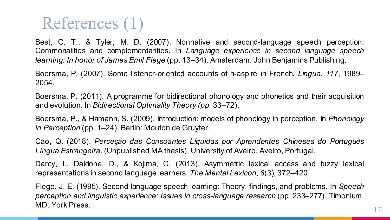### References (1)

Best, C. T., & Tyler, M. D. (2007). Nonnative and second-language speech perception: Commonalities and complementarities. In *Language experience in second language speech learning: In honor of James Emil Flege* (pp. 13–34). Amsterdam: John Benjamins Publishing.

Boersma, P. (2007). Some listener-oriented accounts of h-aspiré in French. *Lingua*, *117*, 1989– 2054.

Boersma, P. (2011). A programme for bidirectional phonology and phonetics and their acquisition and evolution. In *Bidirectional Optimality Theory (pp.* 33–72).

Boersma, P., & Hamann, S. (2009). Introduction: models of phonology in perception. In *Phonology in Perception* (pp. 1–24). Berlin: Mouton de Gruyter.

Cao, Q. (2018). *Perceção das Consoantes Líquidas por Aprendentes Chineses do Português Língua Estrangeira*. (Unpublished MA thesis), University of Aveiro, Aveiro, Portugal.

Darcy, I., Daidone, D., & Kojima, C. (2013). Asymmetric lexical access and fuzzy lexical representations in second language learners. *The Mental Lexicon*, *8*(3), 372–420.

Flege, J. E. (1995). Second language speech learning: Theory, findings, and problems. In *Speech perception and linguistic experience: Issues in cross-language research* (pp. 233–277). Timonium, MD: York Press.